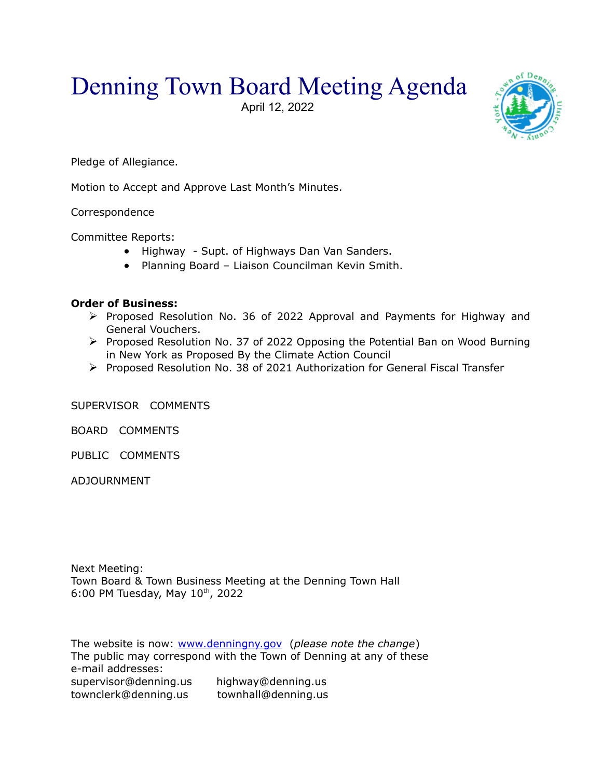## Denning Town Board Meeting Agenda

April 12, 2022



Pledge of Allegiance.

Motion to Accept and Approve Last Month's Minutes.

Correspondence

Committee Reports:

- Highway Supt. of Highways Dan Van Sanders.
- Planning Board Liaison Councilman Kevin Smith.

## **Order of Business:**

- Proposed Resolution No. 36 of 2022 Approval and Payments for Highway and General Vouchers.
- $\triangleright$  Proposed Resolution No. 37 of 2022 Opposing the Potential Ban on Wood Burning in New York as Proposed By the Climate Action Council
- Proposed Resolution No. 38 of 2021 Authorization for General Fiscal Transfer

SUPERVISOR COMMENTS

BOARD COMMENTS

PUBLIC COMMENTS

ADJOURNMENT

Next Meeting: Town Board & Town Business Meeting at the Denning Town Hall 6:00 PM Tuesday, May  $10^{th}$ , 2022

The website is now: [www.denningny.gov](http://www.denningny.gov/) (*please note the change*) The public may correspond with the Town of Denning at any of these e-mail addresses: supervisor@denning.us highway@denning.us townclerk@denning.us townhall@denning.us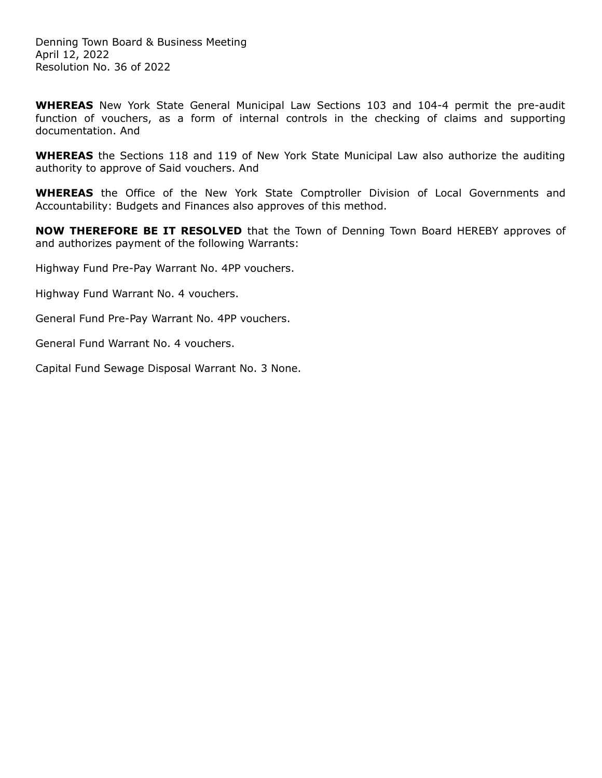Denning Town Board & Business Meeting April 12, 2022 Resolution No. 36 of 2022

**WHEREAS** New York State General Municipal Law Sections 103 and 104-4 permit the pre-audit function of vouchers, as a form of internal controls in the checking of claims and supporting documentation. And

**WHEREAS** the Sections 118 and 119 of New York State Municipal Law also authorize the auditing authority to approve of Said vouchers. And

**WHEREAS** the Office of the New York State Comptroller Division of Local Governments and Accountability: Budgets and Finances also approves of this method.

**NOW THEREFORE BE IT RESOLVED** that the Town of Denning Town Board HEREBY approves of and authorizes payment of the following Warrants:

Highway Fund Pre-Pay Warrant No. 4PP vouchers.

Highway Fund Warrant No. 4 vouchers.

General Fund Pre-Pay Warrant No. 4PP vouchers.

General Fund Warrant No. 4 vouchers.

Capital Fund Sewage Disposal Warrant No. 3 None.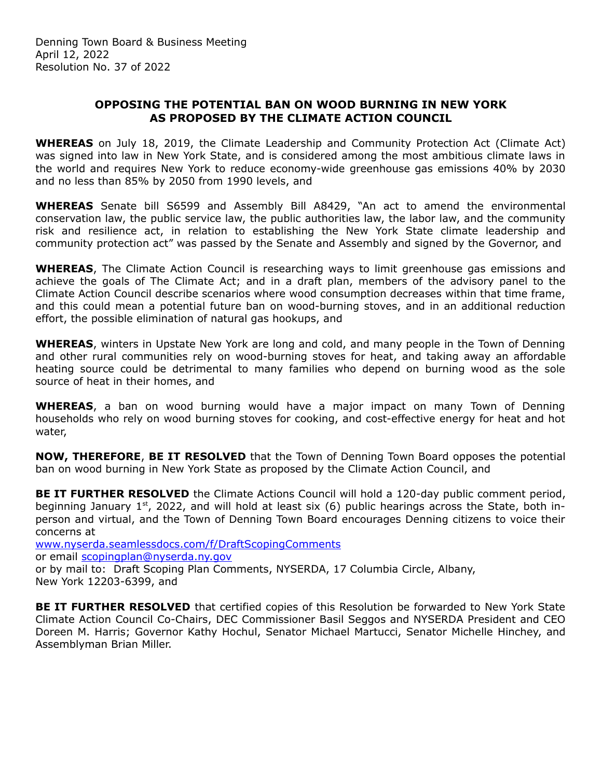## **OPPOSING THE POTENTIAL BAN ON WOOD BURNING IN NEW YORK AS PROPOSED BY THE CLIMATE ACTION COUNCIL**

**WHEREAS** on July 18, 2019, the Climate Leadership and Community Protection Act (Climate Act) was signed into law in New York State, and is considered among the most ambitious climate laws in the world and requires New York to reduce economy-wide greenhouse gas emissions 40% by 2030 and no less than 85% by 2050 from 1990 levels, and

**WHEREAS** Senate bill S6599 and Assembly Bill A8429, "An act to amend the environmental conservation law, the public service law, the public authorities law, the labor law, and the community risk and resilience act, in relation to establishing the New York State climate leadership and community protection act" was passed by the Senate and Assembly and signed by the Governor, and

**WHEREAS**, The Climate Action Council is researching ways to limit greenhouse gas emissions and achieve the goals of The Climate Act; and in a draft plan, members of the advisory panel to the Climate Action Council describe scenarios where wood consumption decreases within that time frame, and this could mean a potential future ban on wood-burning stoves, and in an additional reduction effort, the possible elimination of natural gas hookups, and

**WHEREAS**, winters in Upstate New York are long and cold, and many people in the Town of Denning and other rural communities rely on wood-burning stoves for heat, and taking away an affordable heating source could be detrimental to many families who depend on burning wood as the sole source of heat in their homes, and

**WHEREAS**, a ban on wood burning would have a major impact on many Town of Denning households who rely on wood burning stoves for cooking, and cost-effective energy for heat and hot water,

**NOW, THEREFORE**, **BE IT RESOLVED** that the Town of Denning Town Board opposes the potential ban on wood burning in New York State as proposed by the Climate Action Council, and

**BE IT FURTHER RESOLVED** the Climate Actions Council will hold a 120-day public comment period, beginning January  $1^{st}$ , 2022, and will hold at least six (6) public hearings across the State, both inperson and virtual, and the Town of Denning Town Board encourages Denning citizens to voice their concerns at

[www.nyserda.seamlessdocs.com/f/DraftScopingComments](http://www.nyserda.seamlessdocs.com/f/DraftScopingComments) or email [scopingplan@nyserda.ny.gov](mailto:scopingplan@nyserda.ny.gov) or by mail to: Draft Scoping Plan Comments, NYSERDA, 17 Columbia Circle, Albany, New York 12203-6399, and

**BE IT FURTHER RESOLVED** that certified copies of this Resolution be forwarded to New York State Climate Action Council Co-Chairs, DEC Commissioner Basil Seggos and NYSERDA President and CEO Doreen M. Harris; Governor Kathy Hochul, Senator Michael Martucci, Senator Michelle Hinchey, and Assemblyman Brian Miller.